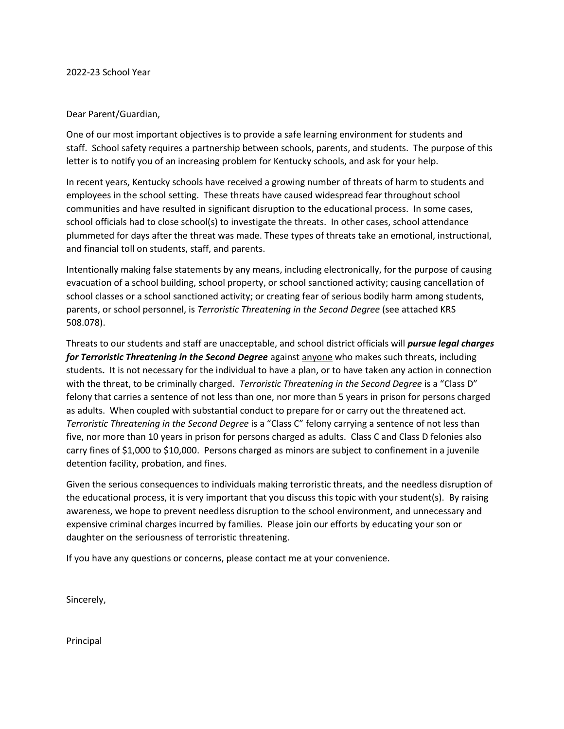## Dear Parent/Guardian,

One of our most important objectives is to provide a safe learning environment for students and staff. School safety requires a partnership between schools, parents, and students. The purpose of this letter is to notify you of an increasing problem for Kentucky schools, and ask for your help.

In recent years, Kentucky schools have received a growing number of threats of harm to students and employees in the school setting. These threats have caused widespread fear throughout school communities and have resulted in significant disruption to the educational process. In some cases, school officials had to close school(s) to investigate the threats. In other cases, school attendance plummeted for days after the threat was made. These types of threats take an emotional, instructional, and financial toll on students, staff, and parents.

Intentionally making false statements by any means, including electronically, for the purpose of causing evacuation of a school building, school property, or school sanctioned activity; causing cancellation of school classes or a school sanctioned activity; or creating fear of serious bodily harm among students, parents, or school personnel, is *Terroristic Threatening in the Second Degree* (see attached KRS 508.078).

Threats to our students and staff are unacceptable, and school district officials will *pursue legal charges for Terroristic Threatening in the Second Degree* against anyone who makes such threats, including students**.** It is not necessary for the individual to have a plan, or to have taken any action in connection with the threat, to be criminally charged. *Terroristic Threatening in the Second Degree* is a "Class D" felony that carries a sentence of not less than one, nor more than 5 years in prison for persons charged as adults. When coupled with substantial conduct to prepare for or carry out the threatened act. *Terroristic Threatening in the Second Degree* is a "Class C" felony carrying a sentence of not less than five, nor more than 10 years in prison for persons charged as adults. Class C and Class D felonies also carry fines of \$1,000 to \$10,000. Persons charged as minors are subject to confinement in a juvenile detention facility, probation, and fines.

Given the serious consequences to individuals making terroristic threats, and the needless disruption of the educational process, it is very important that you discuss this topic with your student(s). By raising awareness, we hope to prevent needless disruption to the school environment, and unnecessary and expensive criminal charges incurred by families. Please join our efforts by educating your son or daughter on the seriousness of terroristic threatening.

If you have any questions or concerns, please contact me at your convenience.

Sincerely,

Principal